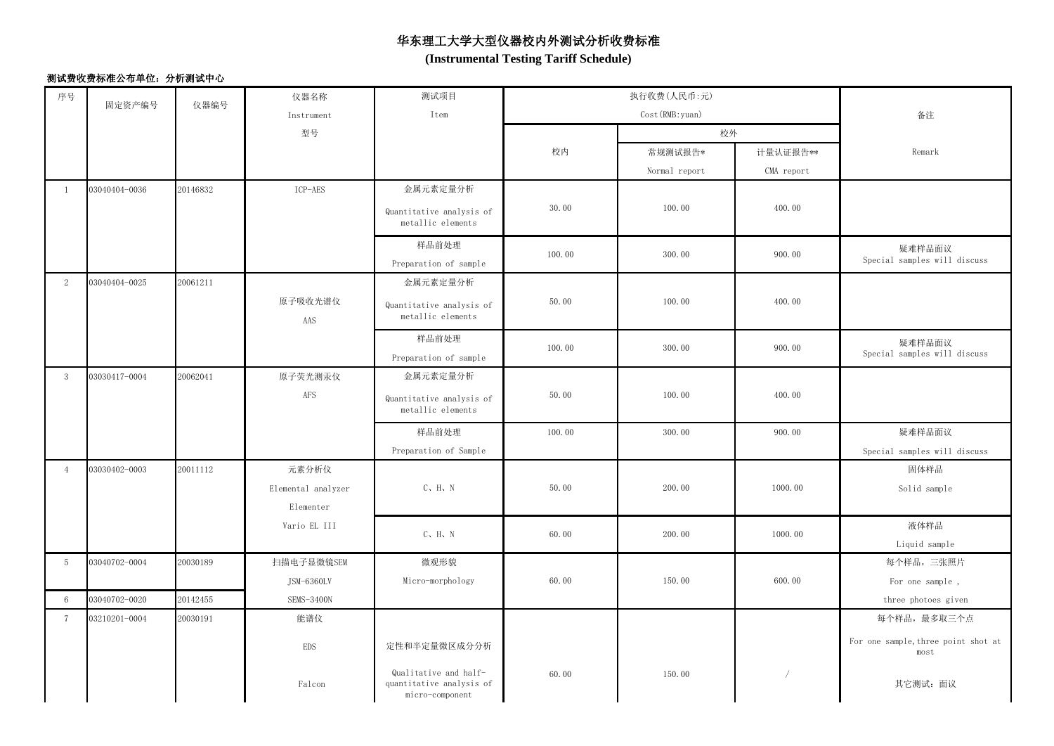## 测试费收费标准公布单位:分析测试中心

| 序号              | 固定资产编号        |          | 仪器名称               | 测试项目                                                                 | 执行收费(人民币:元) |                  |            |                                             |
|-----------------|---------------|----------|--------------------|----------------------------------------------------------------------|-------------|------------------|------------|---------------------------------------------|
|                 |               | 仪器编号     | Instrument         | Item                                                                 |             | Cost (RMB: yuan) |            | 备注                                          |
|                 |               |          | 型号                 |                                                                      |             | 校外               |            |                                             |
|                 |               |          |                    |                                                                      | 校内          | 常规测试报告*          | 计量认证报告**   | Remark                                      |
|                 |               |          |                    |                                                                      |             | Normal report    | CMA report |                                             |
|                 | 03040404-0036 | 20146832 | ICP-AES            | 金属元素定量分析                                                             |             |                  |            |                                             |
|                 |               |          |                    | Quantitative analysis of<br>metallic elements                        | 30.00       | 100.00           | 400.00     |                                             |
|                 |               |          |                    | 样品前处理                                                                | 100.00      | 300.00           | 900.00     | 疑难样品面议                                      |
|                 |               |          |                    | Preparation of sample                                                |             |                  |            | Special samples will discuss                |
| 2               | 03040404-0025 | 20061211 |                    | 金属元素定量分析                                                             |             |                  |            |                                             |
|                 |               |          | 原子吸收光谱仪<br>AAS     | Quantitative analysis of<br>metallic elements                        | 50.00       | 100.00           | 400.00     |                                             |
|                 |               |          |                    | 样品前处理                                                                | 100.00      | 300.00           | 900.00     | 疑难样品面议                                      |
|                 |               |          |                    | Preparation of sample                                                |             |                  |            | Special samples will discuss                |
| 3               | 03030417-0004 | 20062041 | 原子荧光测汞仪            | 金属元素定量分析                                                             |             |                  |            |                                             |
|                 |               |          | AFS                | Quantitative analysis of<br>metallic elements                        | 50.00       | 100.00           | 400.00     |                                             |
|                 |               |          |                    | 样品前处理                                                                | 100.00      | 300.00           | 900.00     | 疑难样品面议                                      |
|                 |               |          |                    | Preparation of Sample                                                |             |                  |            | Special samples will discuss                |
| -4              | 03030402-0003 | 20011112 | 元素分析仪              |                                                                      |             |                  |            | 固体样品                                        |
|                 |               |          | Elemental analyzer | $C$ , $H$ , $N$                                                      | 50.00       | 200.00           | 1000.00    | Solid sample                                |
|                 |               |          | Elementer          |                                                                      |             |                  |            |                                             |
|                 |               |          | Vario EL III       | $C$ , $H$ , $N$                                                      | 60.00       | 200.00           | 1000.00    | 液体样品                                        |
|                 |               |          |                    |                                                                      |             |                  |            | Liquid sample                               |
| $5\phantom{.0}$ | 03040702-0004 | 20030189 | 扫描电子显微镜SEM         | 微观形貌                                                                 |             |                  |            | 每个样品, 三张照片                                  |
|                 |               |          | JSM-6360LV         | Micro-morphology                                                     | 60.00       | 150.00           | 600.00     | For one sample,                             |
| $6\overline{6}$ | 03040702-0020 | 20142455 | SEMS-3400N         |                                                                      |             |                  |            | three photoes given                         |
|                 | 03210201-0004 | 20030191 | 能谱仪                |                                                                      |             |                  |            | 每个样品, 最多取三个点                                |
|                 |               |          | <b>EDS</b>         | 定性和半定量微区成分分析                                                         |             |                  |            | For one sample, three point shot at<br>most |
|                 |               |          | Falcon             | Qualitative and half-<br>quantitative analysis of<br>micro-component | 60.00       | 150.00           |            | 其它测试: 面议                                    |

# 华东理工大学大型仪器校内外测试分析收费标准

## **(Instrumental Testing Tariff Schedule)**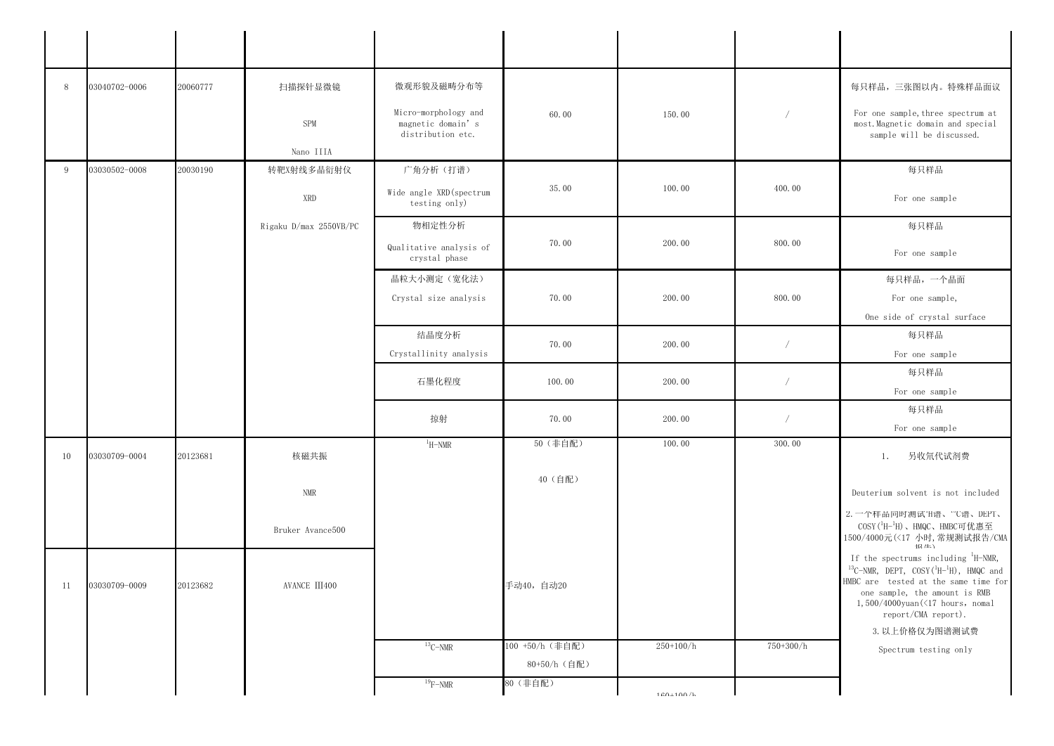| 8  | 03040702-0006 | 20060777 | 扫描探针显微镜<br>SPM<br>Nano IIIA    | 微观形貌及磁畴分布等<br>Micro-morphology and<br>magnetic domain's<br>distribution etc. | 60.00                           | 150.00      |             | 每只样品, 三张图以内。特殊样品面议<br>For one sample, three spectrum at<br>most. Magnetic domain and special<br>sample will be discussed.                                                                                                                                                                                        |
|----|---------------|----------|--------------------------------|------------------------------------------------------------------------------|---------------------------------|-------------|-------------|------------------------------------------------------------------------------------------------------------------------------------------------------------------------------------------------------------------------------------------------------------------------------------------------------------------|
| 9  | 03030502-0008 | 20030190 | 转靶X射线多晶衍射仪<br>XRD              | 广角分析(打谱)<br>Wide angle XRD (spectrum<br>testing only)                        | 35.00                           | 100.00      | 400.00      | 每只样品<br>For one sample                                                                                                                                                                                                                                                                                           |
|    |               |          | Rigaku D/max 2550VB/PC         | 物相定性分析<br>Qualitative analysis of<br>crystal phase                           | 70.00                           | 200.00      | 800.00      | 每只样品<br>For one sample                                                                                                                                                                                                                                                                                           |
|    |               |          |                                | 晶粒大小测定(宽化法)<br>Crystal size analysis                                         | 70.00                           | 200.00      | 800.00      | 每只样品, 一个晶面<br>For one sample,<br>One side of crystal surface                                                                                                                                                                                                                                                     |
|    |               |          |                                | 结晶度分析<br>Crystallinity analysis                                              | 70.00                           | 200.00      |             | 每只样品<br>For one sample                                                                                                                                                                                                                                                                                           |
|    |               |          |                                | 石墨化程度                                                                        | 100.00                          | 200.00      |             | 每只样品                                                                                                                                                                                                                                                                                                             |
|    |               |          |                                |                                                                              |                                 |             |             | For one sample                                                                                                                                                                                                                                                                                                   |
|    |               |          |                                | 掠射                                                                           | 70.00                           | 200.00      |             | 每只样品<br>For one sample                                                                                                                                                                                                                                                                                           |
| 10 | 03030709-0004 | 20123681 | 核磁共振                           | $1H-NMR$                                                                     | 50 (非自配)                        | 100.00      | 300.00      | 另收氘代试剂费<br>1.                                                                                                                                                                                                                                                                                                    |
|    |               |          | <b>NMR</b><br>Bruker Avance500 |                                                                              | 40 (自配)                         |             |             | Deuterium solvent is not included<br>2. 一个样品同时测试'H谱、"C谱、DEPT、<br>$\mathrm{COSY}\,(^1\mathrm{H}-^1\mathrm{H})$ 、HMQC、HMBC可优惠至                                                                                                                                                                                     |
| 11 | 03030709-0009 | 20123682 | AVANCE III400                  |                                                                              | 手动40, 自动20                      |             |             | 1500/4000元(<17 小时, 常规测试报告/CMA<br>40 生<br>If the spectrums including <sup>1</sup> H-NMR,<br><sup>13</sup> C-NMR, DEPT, COSY( $^1H^{-1}H$ ), HMQC and<br>HMBC are tested at the same time for<br>one sample, the amount is RMB<br>1,500/4000yuan $(\langle 17 \text{ hours}, \text{nomal})$<br>report/CMA report). |
|    |               |          |                                | $13$ C-NMR                                                                   | 100 +50/h (非自配)<br>80+50/h (自配) | $250+100/h$ | $750+300/h$ | 3. 以上价格仅为图谱测试费<br>Spectrum testing only                                                                                                                                                                                                                                                                          |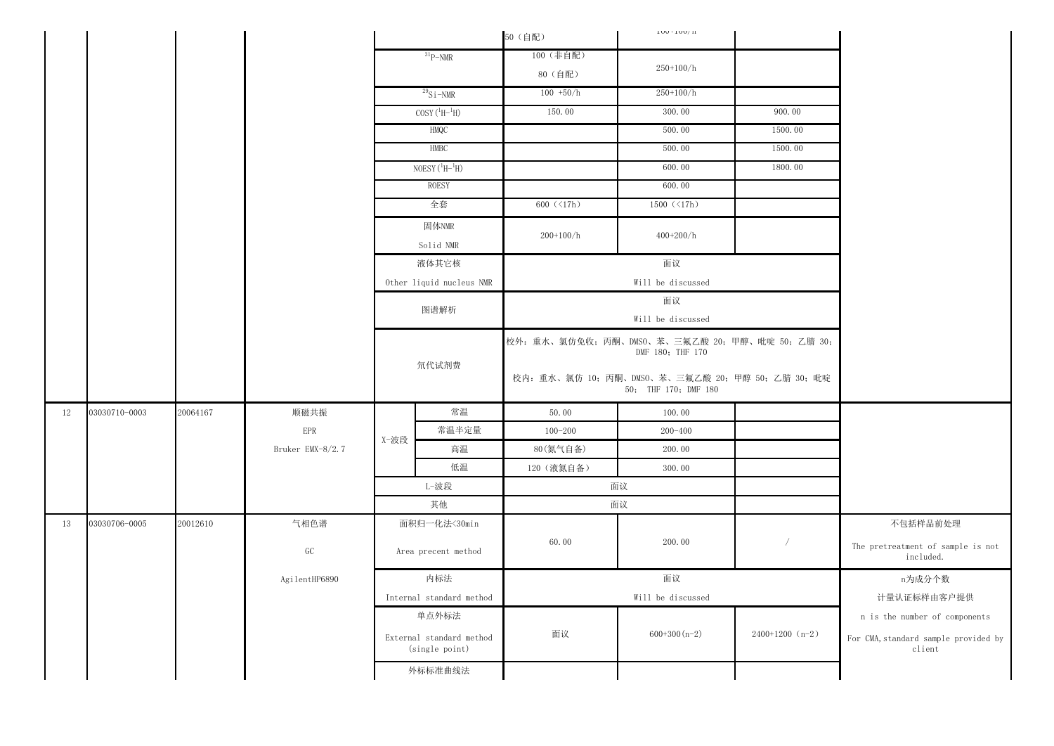|    |               |          |                  |      |                                            | 50 (自配)                     | $100+100$ / II                                                            |                   |                                                |
|----|---------------|----------|------------------|------|--------------------------------------------|-----------------------------|---------------------------------------------------------------------------|-------------------|------------------------------------------------|
|    |               |          |                  |      | $31P-NMR$                                  | 100 (非自配)                   |                                                                           |                   |                                                |
|    |               |          |                  |      |                                            | 80 (自配)                     | $250+100/h$                                                               |                   |                                                |
|    |               |          |                  |      | $^{29}$ Si-NMR                             | $100 + 50/h$                | $250+100/h$                                                               |                   |                                                |
|    |               |          |                  |      | $COSY(^1H-^1H)$                            | 150.00                      | 300.00                                                                    | 900.00            |                                                |
|    |               |          |                  |      | ${\tt HMQC}$                               |                             | 500.00                                                                    | 1500.00           |                                                |
|    |               |          |                  |      | HMBC                                       |                             | 500.00                                                                    | 1500.00           |                                                |
|    |               |          |                  |      | NOESY $(^1H-^1H)$                          |                             | 600.00                                                                    | 1800.00           |                                                |
|    |               |          |                  |      | ROESY                                      |                             | 600.00                                                                    |                   |                                                |
|    |               |          |                  |      | 全套                                         | 600 $(\langle 17h \rangle)$ | 1500 $(\langle 17h \rangle)$                                              |                   |                                                |
|    |               |          |                  |      | 固体NMR                                      |                             |                                                                           |                   |                                                |
|    |               |          |                  |      | Solid NMR                                  | $200 + 100/h$               | $400+200/h$                                                               |                   |                                                |
|    |               |          |                  |      | 液体其它核                                      |                             | 面议                                                                        |                   |                                                |
|    |               |          |                  |      | Other liquid nucleus NMR                   |                             | Will be discussed                                                         |                   |                                                |
|    |               |          |                  |      |                                            |                             | 面议                                                                        |                   |                                                |
|    |               |          |                  |      | 图谱解析                                       |                             | Will be discussed                                                         |                   |                                                |
|    |               |          |                  |      | 氘代试剂费                                      |                             | 校外: 重水、氯仿免收; 丙酮、DMSO、苯、三氟乙酸 20; 甲醇、吡啶 50; 乙腈 30;<br>DMF 180; THF 170      |                   |                                                |
|    |               |          |                  |      |                                            |                             | 校内: 重水、氯仿 10; 丙酮、DMSO、苯、三氟乙酸 20; 甲醇 50; 乙腈 30; 吡啶<br>50; THF 170; DMF 180 |                   |                                                |
| 12 | 03030710-0003 | 20064167 | 顺磁共振             |      | 常温                                         | 50.00                       | 100.00                                                                    |                   |                                                |
|    |               |          | EPR              | X-波段 | 常温半定量                                      | $100 - 200$                 | $200 - 400$                                                               |                   |                                                |
|    |               |          | Bruker EMX-8/2.7 |      | 高温                                         | 80 (氮气自备)                   | 200.00                                                                    |                   |                                                |
|    |               |          |                  |      | 低温                                         | 120 (液氮自备)                  | 300.00                                                                    |                   |                                                |
|    |               |          |                  |      | L-波段                                       |                             | 面议                                                                        |                   |                                                |
|    |               |          |                  |      | 其他                                         |                             | 面议                                                                        |                   |                                                |
| 13 | 03030706-0005 | 20012610 | 气相色谱             |      | 面积归一化法<30min                               |                             |                                                                           |                   | 不包括样品前处理                                       |
|    |               |          | $G$ C            |      | Area precent method                        | 60.00                       | 200.00                                                                    |                   | The pretreatment of sample is not<br>included. |
|    |               |          | AgilentHP6890    |      | 内标法                                        |                             | 面议                                                                        |                   | n为成分个数                                         |
|    |               |          |                  |      | Internal standard method                   |                             | Will be discussed                                                         |                   | 计量认证标样由客户提供                                    |
|    |               |          |                  |      | 单点外标法                                      |                             |                                                                           |                   | n is the number of components                  |
|    |               |          |                  |      | External standard method<br>(single point) | 面议                          | $600+300(n-2)$                                                            | $2400+1200$ (n-2) | For CMA, standard sample provided by<br>client |
|    |               |          |                  |      | 外标标准曲线法                                    |                             |                                                                           |                   |                                                |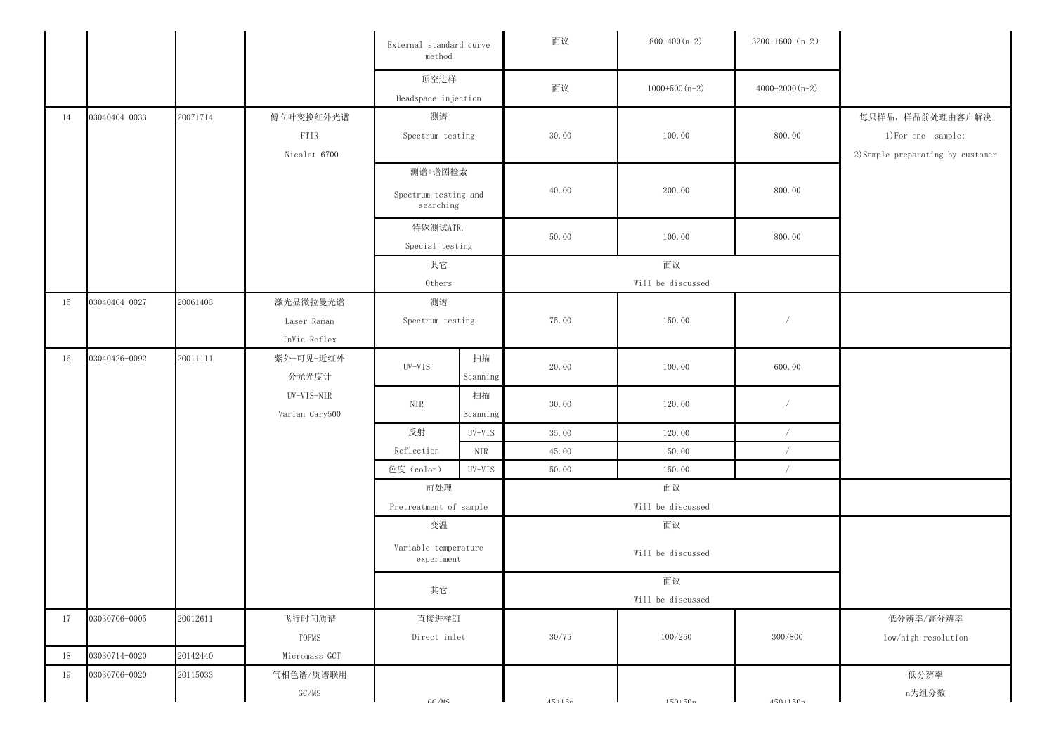|    |               |          |                                         | External standard curve<br>method                           |                 | 面议       | $800+400(n-2)$          | $3200+1600$ (n-2) |                                                                            |
|----|---------------|----------|-----------------------------------------|-------------------------------------------------------------|-----------------|----------|-------------------------|-------------------|----------------------------------------------------------------------------|
|    |               |          |                                         | 顶空进样<br>Headspace injection                                 |                 | 面议       | $1000+500(n-2)$         | $4000+2000(n-2)$  |                                                                            |
| 14 | 03040404-0033 | 20071714 | 傅立叶变换红外光谱<br>FTIR<br>Nicolet 6700       | 测谱<br>Spectrum testing                                      |                 | 30.00    | 100.00                  | 800.00            | 每只样品,样品前处理由客户解决<br>1) For one sample;<br>2) Sample preparating by customer |
|    |               |          |                                         | 测谱+谱图检索<br>Spectrum testing and<br>searching                |                 | 40.00    | 200.00                  | 800.00            |                                                                            |
|    |               |          |                                         | 特殊测试ATR,<br>Special testing                                 |                 | 50.00    | 100.00                  | 800.00            |                                                                            |
|    |               |          |                                         | 其它<br>Others                                                |                 |          | 面议<br>Will be discussed |                   |                                                                            |
| 15 | 03040404-0027 | 20061403 | 激光显微拉曼光谱<br>Laser Raman<br>InVia Reflex | 测谱<br>Spectrum testing                                      |                 | 75.00    | 150.00                  |                   |                                                                            |
| 16 | 03040426-0092 | 20011111 | 紫外-可见-近红外<br>分光光度计                      | UV-VIS                                                      | 扫描<br>Scanning  | 20.00    | 100.00                  | 600.00            |                                                                            |
|    |               |          | UV-VIS-NIR<br>Varian Cary500            | $\ensuremath{\mathrm{NIR}}\xspace$                          | 扫描<br>Scanning  | 30.00    | 120.00                  |                   |                                                                            |
|    |               |          |                                         | 反射                                                          | $_{\rm UV-VIS}$ | 35.00    | 120.00                  |                   |                                                                            |
|    |               |          |                                         | Reflection                                                  | <b>NIR</b>      | 45.00    | 150.00                  |                   |                                                                            |
|    |               |          |                                         | 色度 (color)                                                  | UV-VIS          | 50.00    | 150.00                  |                   |                                                                            |
|    |               |          |                                         | 前处理                                                         |                 |          | 面议                      |                   |                                                                            |
|    |               |          |                                         | Pretreatment of sample                                      |                 |          | Will be discussed       |                   |                                                                            |
|    |               |          |                                         | 变温                                                          |                 |          | 面议                      |                   |                                                                            |
|    |               |          |                                         | Variable temperature<br>experiment                          |                 |          | Will be discussed       |                   |                                                                            |
|    |               |          |                                         | 其它                                                          |                 |          | 面议                      |                   |                                                                            |
|    |               |          |                                         |                                                             |                 |          | Will be discussed       |                   |                                                                            |
| 17 | 03030706-0005 | 20012611 | 飞行时间质谱                                  | 直接进样EI                                                      |                 |          |                         |                   | 低分辨率/高分辨率                                                                  |
|    |               |          | TOFMS                                   | Direct inlet                                                |                 | 30/75    | 100/250                 | 300/800           | low/high resolution                                                        |
| 18 | 03030714-0020 | 20142440 | Micromass GCT                           |                                                             |                 |          |                         |                   |                                                                            |
| 19 | 03030706-0020 | 20115033 | 气相色谱/质谱联用                               |                                                             |                 |          |                         |                   | 低分辨率                                                                       |
|    |               |          | GC/MS                                   | $\overline{C}$ $\overline{C}$ $\overline{C}$ $\overline{C}$ |                 | $45+15n$ | $150+50n$               | $450+150n$        | n为组分数                                                                      |

| $(n-2)$        |                                                                           |
|----------------|---------------------------------------------------------------------------|
| $(n-2)$        |                                                                           |
| $\overline{0}$ | 每只样品,样品前处理由客户解决<br>1)For one sample;<br>2) Sample preparating by customer |
| $\overline{0}$ |                                                                           |
| $\overline{0}$ |                                                                           |
|                |                                                                           |
|                |                                                                           |
| $\overline{0}$ |                                                                           |
|                |                                                                           |
|                |                                                                           |
|                |                                                                           |
|                |                                                                           |
|                |                                                                           |
| $\overline{0}$ | 低分辨率/高分辨率<br>low/high resolution                                          |
|                | 低分辨率<br>n为组分数                                                             |
| Nm             |                                                                           |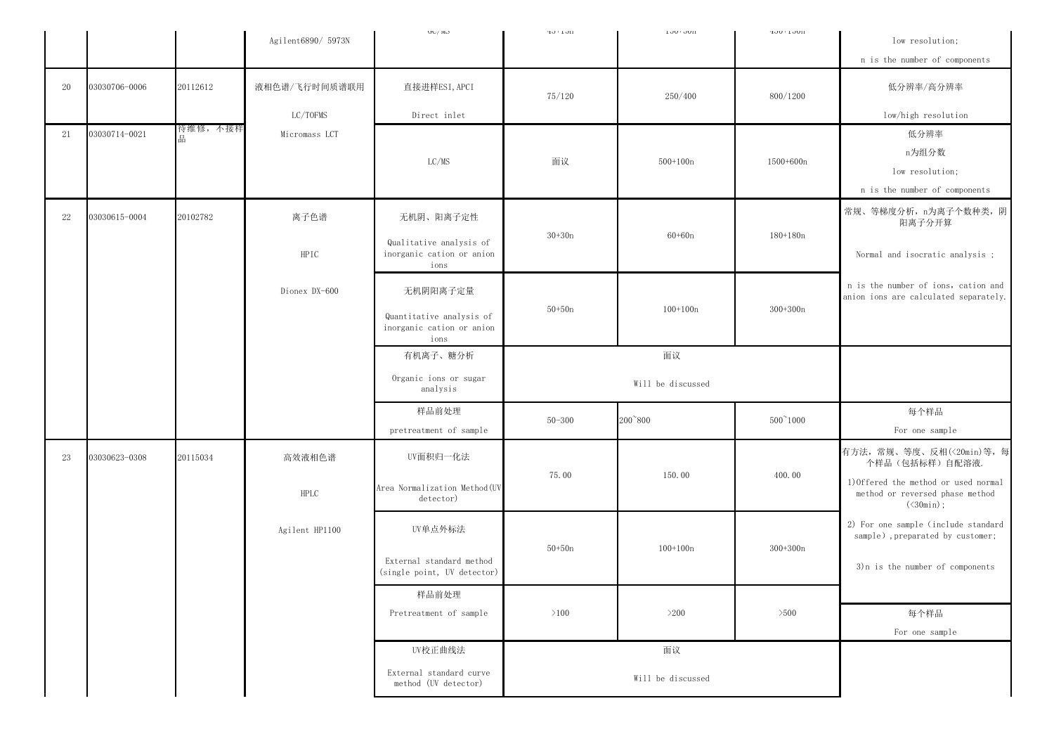|    |               |          | Agilent6890/ 5973N | UU/ MJ                                                            | $1101 \pm 011$ | <b>TOOLOOH</b>    | TIUUITTUUE       | low resolution;                                                                                                |
|----|---------------|----------|--------------------|-------------------------------------------------------------------|----------------|-------------------|------------------|----------------------------------------------------------------------------------------------------------------|
|    |               |          |                    |                                                                   |                |                   |                  | n is the number of components                                                                                  |
| 20 | 03030706-0006 | 20112612 | 液相色谱/飞行时间质谱联用      | 直接进样ESI, APCI<br>Direct inlet                                     | 75/120         | 250/400           | 800/1200         | 低分辨率/高分辨率                                                                                                      |
|    |               | 待维修, 不接样 | LC/TOFMS           |                                                                   |                |                   |                  | low/high resolution                                                                                            |
| 21 | 03030714-0021 |          | Micromass LCT      |                                                                   |                |                   |                  | 低分辨率                                                                                                           |
|    |               |          |                    | LC/MS                                                             | 面议             | $500+100n$        | 1500+600n        | n为组分数                                                                                                          |
|    |               |          |                    |                                                                   |                |                   |                  | low resolution;                                                                                                |
|    |               |          |                    |                                                                   |                |                   |                  | n is the number of components                                                                                  |
| 22 | 03030615-0004 | 20102782 | 离子色谱               | 无机阴、阳离子定性                                                         |                |                   |                  | 常规、等梯度分析, n为离子个数种类, 阴<br>阳离子分开算                                                                                |
|    |               |          | HPIC               | Qualitative analysis of<br>inorganic cation or anion<br>ions      | $30 + 30n$     | $60 + 60n$        | $180 + 180n$     | Normal and isocratic analysis;                                                                                 |
|    |               |          | Dionex DX-600      | 无机阴阳离子定量<br>Quantitative analysis of<br>inorganic cation or anion | $50 + 50n$     | $100 + 100n$      | $300 + 300n$     | n is the number of ions, cation and<br>anion ions are calculated separately.                                   |
|    |               |          |                    | ions<br>有机离子、糖分析                                                  |                | 面议                |                  |                                                                                                                |
|    |               |          |                    |                                                                   |                |                   |                  |                                                                                                                |
|    |               |          |                    | Organic ions or sugar<br>analysis                                 |                | Will be discussed |                  |                                                                                                                |
|    |               |          |                    | 样品前处理<br>pretreatment of sample                                   | $50 - 300$     | $200^{\circ}800$  | $500^\circ 1000$ | 每个样品<br>For one sample                                                                                         |
| 23 | 03030623-0308 | 20115034 | 高效液相色谱             | UV面积归一化法                                                          | 75.00          | 150.00            | 400.00           | 有方法, 常规、等度、反相(<20min)等, 每<br>个样品(包括标样)自配溶液.                                                                    |
|    |               |          | HPLC               | Area Normalization Method (UV<br>detector)                        |                |                   |                  | 1) Offered the method or used normal<br>method or reversed phase method<br>$(\langle 30 \text{min} \rangle)$ ; |
|    |               |          | Agilent HP1100     | UV单点外标法                                                           | $50 + 50n$     | $100 + 100n$      | $300 + 300n$     | 2) For one sample (include standard<br>sample), preparated by customer;                                        |
|    |               |          |                    | External standard method<br>(single point, UV detector)           |                |                   |                  | $3$ ) n is the number of components                                                                            |
|    |               |          |                    | 样品前处理                                                             |                |                   |                  |                                                                                                                |
|    |               |          |                    | Pretreatment of sample                                            | >100           | >200              | >500             | 每个样品                                                                                                           |
|    |               |          |                    |                                                                   |                |                   |                  | For one sample                                                                                                 |
|    |               |          |                    | UV校正曲线法                                                           |                | 面议                |                  |                                                                                                                |
|    |               |          |                    | External standard curve<br>method (UV detector)                   |                | Will be discussed |                  |                                                                                                                |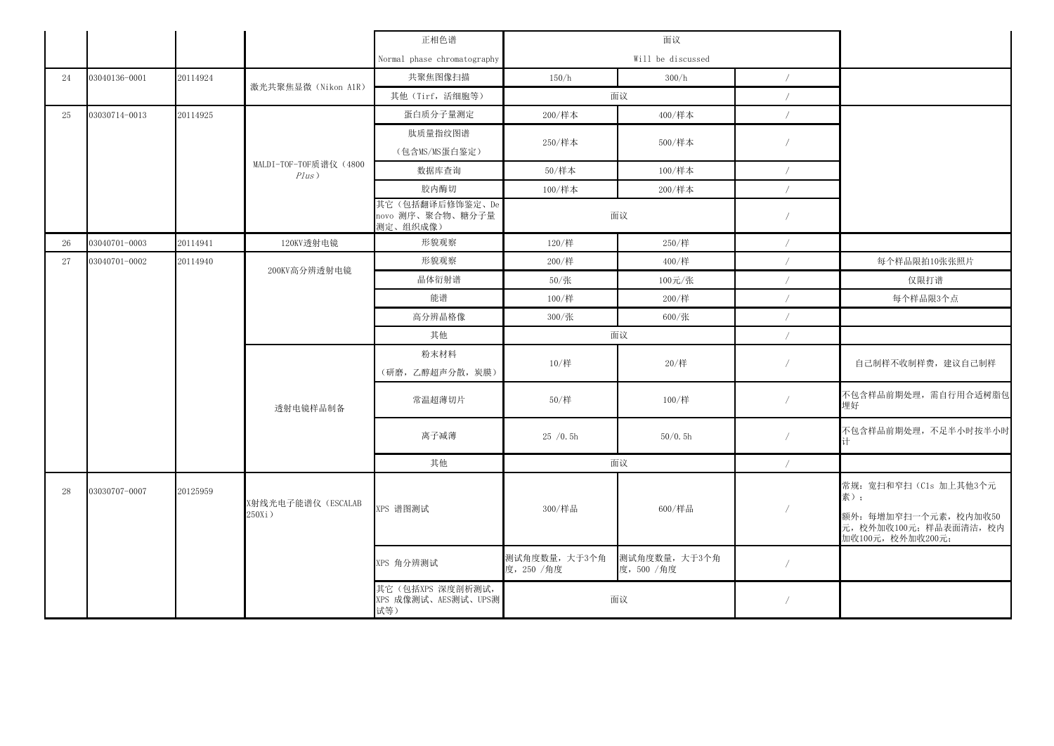|    |               |          |                                 | 正相色谱                                            |                             | 面议                          |            |                                                                     |
|----|---------------|----------|---------------------------------|-------------------------------------------------|-----------------------------|-----------------------------|------------|---------------------------------------------------------------------|
|    |               |          |                                 | Normal phase chromatography                     |                             | Will be discussed           |            |                                                                     |
| 24 | 03040136-0001 | 20114924 |                                 | 共聚焦图像扫描                                         | 150/h                       | 300/h                       |            |                                                                     |
|    |               |          | 激光共聚焦显微 (Nikon A1R)             | 其他 (Tirf, 活细胞等)                                 |                             | 面议                          |            |                                                                     |
| 25 | 03030714-0013 | 20114925 |                                 | 蛋白质分子量测定                                        | 200/样本                      | 400/样本                      |            |                                                                     |
|    |               |          |                                 | 肽质量指纹图谱                                         |                             |                             |            |                                                                     |
|    |               |          |                                 | (包含MS/MS蛋白鉴定)                                   | 250/样本                      | 500/样本                      |            |                                                                     |
|    |               |          | MALDI-TOF-TOF质谱仪 (4800<br>Plus) | 数据库查询                                           | 50/样本                       | 100/样本                      |            |                                                                     |
|    |               |          |                                 | 胶内酶切                                            | 100/样本                      | 200/样本                      |            |                                                                     |
|    |               |          |                                 | 其它(包括翻译后修饰鉴定、De<br>novo 测序、聚合物、糖分子量<br>测定、组织成像) |                             | 面议                          |            |                                                                     |
| 26 | 03040701-0003 | 20114941 | 120KV透射电镜                       | 形貌观察                                            | 120/样                       | 250/样                       |            |                                                                     |
| 27 | 03040701-0002 | 20114940 |                                 | 形貌观察                                            | 200/样                       | 400/样                       |            | 每个样品限拍10张张照片                                                        |
|    |               |          | 200KV高分辨透射电镜                    | 晶体衍射谱                                           | 50/张                        | 100元/张                      |            | 仅限打谱                                                                |
|    |               |          |                                 | 能谱                                              | 100/样                       | 200/样                       |            | 每个样品限3个点                                                            |
|    |               |          |                                 | 高分辨晶格像                                          | 300/张                       | 600/张                       |            |                                                                     |
|    |               |          |                                 | 其他                                              |                             | 面议                          |            |                                                                     |
|    |               |          |                                 | 粉末材料                                            |                             |                             |            |                                                                     |
|    |               |          |                                 | (研磨,乙醇超声分散,炭膜)                                  | 10/样                        | 20/样                        |            | 自己制样不收制样费, 建议自己制样                                                   |
|    |               |          | 透射电镜样品制备                        | 常温超薄切片                                          | 50/样                        | 100/样                       |            | 不包含样品前期处理, 需自行用合适树!<br>埋好                                           |
|    |               |          |                                 | 离子减薄                                            | 25/0.5h                     | 50/0.5h                     |            | 不包含样品前期处理,不足半小时按半,                                                  |
|    |               |          |                                 | 其他                                              |                             | 面议                          | $\sqrt{2}$ |                                                                     |
| 28 | 03030707-0007 | 20125959 | X射线光电子能谱仪 (ESCALAB              |                                                 |                             |                             |            | 常规: 宽扫和窄扫 (C1s 加上其他3个元<br>素);                                       |
|    |               |          | $250Xi$ )                       | XPS 谱图测试                                        | 300/样品                      | 600/样品                      |            | 额外: 每增加窄扫一个元素, 校内加收5<br>元, 校外加收100元; 样品表面清洁, 校<br>加收100元, 校外加收200元; |
|    |               |          |                                 | XPS 角分辨测试                                       | 测试角度数量, 大于3个角<br>度, 250 /角度 | 测试角度数量, 大于3个角<br>度, 500 /角度 |            |                                                                     |
|    |               |          |                                 | 其它(包括XPS 深度剖析测试,<br>XPS 成像测试、AES测试、UPS测<br>试等)  |                             | 面议                          |            |                                                                     |

| 每个样品限拍10张张照片                                                                      |
|-----------------------------------------------------------------------------------|
| 仅限打谱                                                                              |
| 每个样品限3个点                                                                          |
|                                                                                   |
|                                                                                   |
| 自己制样不收制样费, 建议自己制样                                                                 |
| 不包含样品前期处理, 需自行用合适树脂包<br>埋好                                                        |
| 不包含样品前期处理,不足半小时按半小时<br>计                                                          |
|                                                                                   |
| 常规: 宽扫和窄扫 (C1s 加上其他3个元<br>素);<br>额外: 每增加窄扫一个元素, 校内加收50<br>元, 校外加收100元; 样品表面清洁, 校内 |
| 加收100元, 校外加收200元;                                                                 |
|                                                                                   |
|                                                                                   |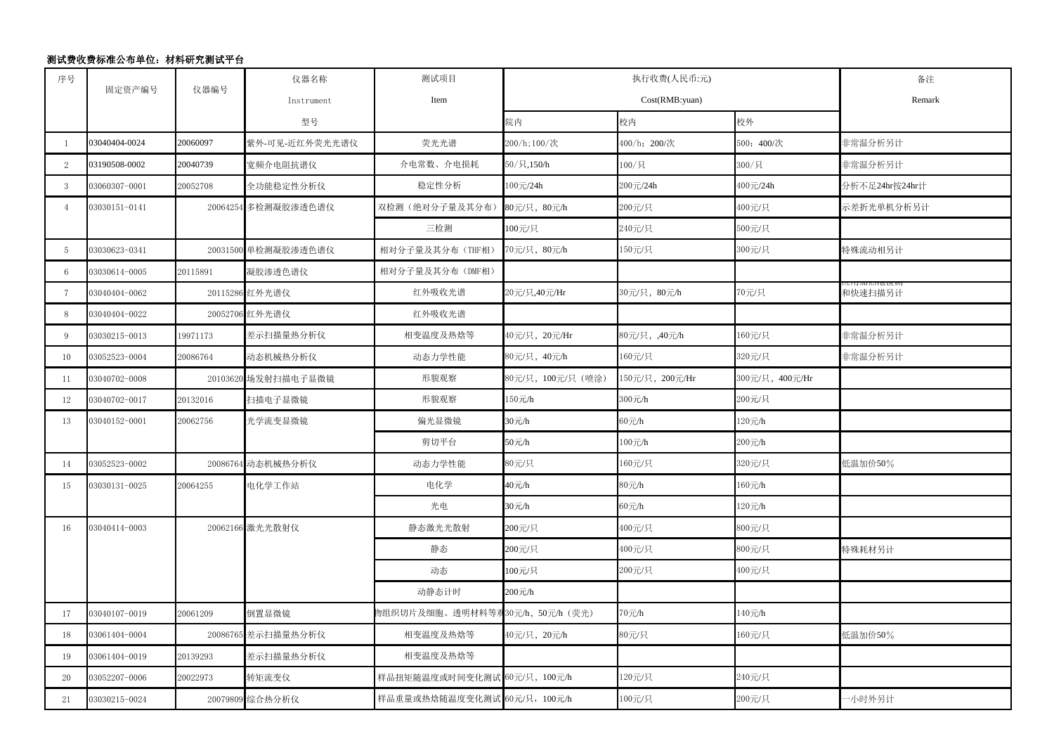#### 测试费收费标准公布单位:材料研究测试平台

| 序号 |               |          | 仪器名称                | 测试项目                             |                    | 执行收费(人民币:元)     |                 | 备注                                 |
|----|---------------|----------|---------------------|----------------------------------|--------------------|-----------------|-----------------|------------------------------------|
|    | 固定资产编号        | 仪器编号     | Instrument          | Item                             |                    | Cost(RMB:yuan)  |                 | Remark                             |
|    |               |          | 型号                  |                                  | 院内                 | 校内              | 校外              |                                    |
|    | 03040404-0024 | 20060097 | 紫外-可见-近红外荧光光谱仪      | 荧光光谱                             | 200/h;100/次        | 400/h; 200/次    | 500; 400/次      | 非常温分析另计                            |
| 2  | 03190508-0002 | 20040739 | 宽频介电阻抗谱仪            | 介电常数、介电损耗                        | 50/只,150/h         | 100/只           | 300/只           | 非常温分析另计                            |
|    | 03060307-0001 | 20052708 | 全功能稳定性分析仪           | 稳定性分析                            | 100元/24h           | 200元/24h        | 400元/24h        | 分析不足24hr按24hr计                     |
|    | 03030151-0141 |          | 20064254 多检测凝胶渗透色谱仪 | 双检测(绝对分子量及其分布)                   | 80元/只, 80元/h       | 200元/只          | 400元/只          | 示差折光单机分析另计                         |
|    |               |          |                     | 三检测                              | 100元/只             | 240元/只          | 500元/只          |                                    |
| -5 | 03030623-0341 |          | 20031500 单检测凝胶渗透色谱仪 | 相对分子量及其分布(THF相)                  | 70元/只, 80元/h       | 150元/只          | 300元/只          | 特殊流动相另计                            |
| 6  | 03030614-0005 | 20115891 | 凝胶渗透色谱仪             | 相对分子量及其分布(DMF相)                  |                    |                 |                 |                                    |
|    | 03040404-0062 |          | 20115286 红外光谱仪      | 红外吸收光谱                           | 20元/只,40元/Hr       | 30元/只, 80元/h    | 70元/只           | 뜨/ l) ノ/H X\?1만 [뽀 1)\!<br>和快速扫描另计 |
| 8  | 03040404-0022 |          | 20052706 红外光谱仪      | 红外吸收光谱                           |                    |                 |                 |                                    |
| 9  | 03030215-0013 | 19971173 | 差示扫描量热分析仪           | 相变温度及热焓等                         | 40元/只, 20元/Hr      | 80元/只, ,40元/h   | 160元/只          | 非常温分析另计                            |
| 10 | 03052523-0004 | 20086764 | 动态机械热分析仪            | 动态力学性能                           | 80元/只, 40元/h       | 160元/只          | 320元/只          | 非常温分析另计                            |
| 11 | 03040702-0008 |          | 20103620 场发射扫描电子显微镜 | 形貌观察                             | 80元/只, 100元/只 (喷涂) | 150元/只, 200元/Hr | 300元/只, 400元/Hr |                                    |
| 12 | 03040702-0017 | 20132016 | 扫描电子显微镜             | 形貌观察                             | 150元/h             | 300元/h          | 200元/只          |                                    |
| 13 | 03040152-0001 | 20062756 | 光学流变显微镜             | 偏光显微镜                            | 30元/h              | 60元/h           | 120元/h          |                                    |
|    |               |          |                     | 剪切平台                             | 50元/h              | 100元/h          | 200元/h          |                                    |
| 14 | 03052523-0002 |          | 20086764 动态机械热分析仪   | 动态力学性能                           | 80元/只              | 160元/只          | 320元/只          | 低温加价50%                            |
| 15 | 03030131-0025 | 20064255 | 电化学工作站              | 电化学                              | 40元/h              | 80元/h           | 160元/h          |                                    |
|    |               |          |                     | 光电                               | 30元/h              | 60元/h           | 120元/h          |                                    |
| 16 | 03040414-0003 |          | 20062166 激光光散射仪     | 静态激光光散射                          | 200元/只             | 400元/只          | 800元/只          |                                    |
|    |               |          |                     | 静态                               | 200元/只             | 400元/只          | 800元/只          | 特殊耗材另计                             |
|    |               |          |                     | 动态                               | 100元/只             | 200元/只          | 400元/只          |                                    |
|    |               |          |                     | 动静态计时                            | 200元/h             |                 |                 |                                    |
| 17 | 03040107-0019 | 20061209 | 倒置显微镜               | 物组织切片及细胞、透明材料等观30元/h, 50元/h (荧光) |                    | 70元/h           | 140元/h          |                                    |
| 18 | 03061404-0004 |          | 20086765 差示扫描量热分析仪  | 相变温度及热焓等                         | 40元/只, 20元/h       | 80元/只           | 160元/只          | 低温加价50%                            |
| 19 | 03061404-0019 | 20139293 | 差示扫描量热分析仪           | 相变温度及热焓等                         |                    |                 |                 |                                    |
| 20 | 03052207-0006 | 20022973 | 转矩流变仪               | 样品扭矩随温度或时间变化测试 60元/只, 100元/h     |                    | 120元/只          | 240元/只          |                                    |
| 21 | 03030215-0024 |          | 20079809 综合热分析仪     | 样品重量或热焓随温度变化测试 60元/只, 100元/h     |                    | 100元/只          | 200元/只          | 一小时外另计                             |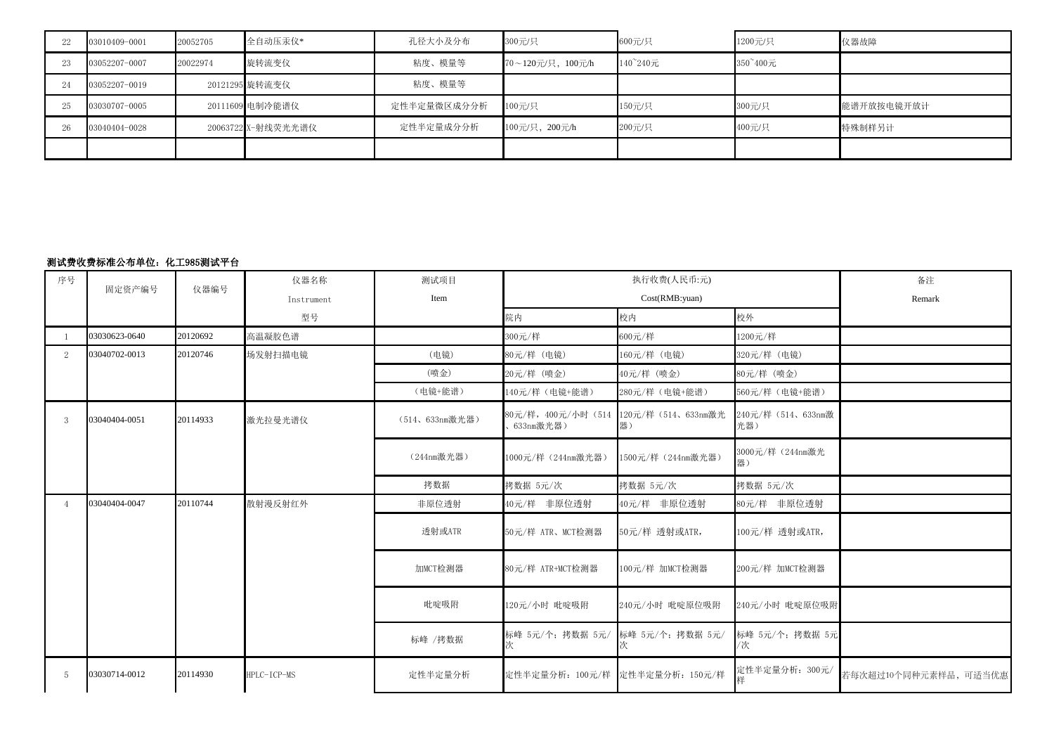### 测试费收费标准公布单位:化工985测试平台

| 22 | 03010409-0001 | 20052705 | 全自动压汞仪*            | 孔径大小及分布     | 300元/只            | 600元/只   | 1200元/只  | 仪器故障       |
|----|---------------|----------|--------------------|-------------|-------------------|----------|----------|------------|
| 23 | 03052207-0007 | 20022974 | 旋转流变仪              | 粘度、模量等      | 70~120元/只, 100元/h | 140~240元 | 350~400元 |            |
| 24 | 03052207-0019 |          | 20121295 旋转流变仪     | 粘度、模量等      |                   |          |          |            |
| 25 | 03030707-0005 |          | 20111609 电制冷能谱仪    | 定性半定量微区成分分析 | 100元/只            | 150元/只   | 300元/只   | 能谱开放按电镜开放计 |
| 26 | 03040404-0028 |          | 20063722 X-射线荧光光谱仪 | 定性半定量成分分析   | 100元/只, 200元/h    | 200元/只   | 400元/只   | 特殊制样另计     |
|    |               |          |                    |             |                   |          |          |            |

| 序号             | 固定资产编号        | 仪器编号     | 仪器名称        | 测试项目           | 执行收费(人民币:元)                      |                           |                           | 备注                   |
|----------------|---------------|----------|-------------|----------------|----------------------------------|---------------------------|---------------------------|----------------------|
|                |               |          | Instrument  | Item           |                                  | Cost(RMB:yuan)            |                           | Remark               |
|                |               |          | 型号          |                | 院内                               | 校内                        | 校外                        |                      |
|                | 03030623-0640 | 20120692 | 高温凝胶色谱      |                | 300元/样                           | 600元/样                    | 1200元/样                   |                      |
| $\overline{2}$ | 03040702-0013 | 20120746 | 场发射扫描电镜     | (电镜)           | 80元/样 (电镜)                       | 160元/样 (电镜)               | 320元/样 (电镜)               |                      |
|                |               |          |             | (喷金)           | 20元/样 (喷金)                       | 40元/样 (喷金)                | 80元/样 (喷金)                |                      |
|                |               |          |             | (电镜+能谱)        | 140元/样(电镜+能谱)                    | 280元/样(电镜+能谱)             | 560元/样(电镜+能谱)             |                      |
| 3              | 03040404-0051 | 20114933 | 激光拉曼光谱仪     | (514、633nm激光器) | 80元/样, 400元/小时 (514<br>633nm激光器) | 120元/样 (514、633nm激光<br>器〕 | 240元/样 (514、633nm激<br>光器) |                      |
|                |               |          |             | (244nm激光器)     | 1000元/样 (244nm激光器)               | 1500元/样 (244nm激光器)        | 3000元/样 (244nm激光<br>器)    |                      |
|                |               |          |             | 拷数据            | 拷数据 5元/次                         | 拷数据 5元/次                  | 拷数据 5元/次                  |                      |
| $\overline{4}$ | 03040404-0047 | 20110744 | 散射漫反射红外     | 非原位透射          | 40元/样 非原位透射                      | 40元/样 非原位透射               | 80元/样 非原位透射               |                      |
|                |               |          |             | 透射或ATR         | 50元/样 ATR、MCT检测器                 | 50元/样 透射或ATR,             | 100元/样 透射或ATR,            |                      |
|                |               |          |             | 加MCT检测器        | 80元/样 ATR+MCT检测器                 | 100元/样 加MCT检测器            | 200元/样 加MCT检测器            |                      |
|                |               |          |             | 吡啶吸附           | 120元/小时 吡啶吸附                     | 240元/小时 吡啶原位吸附            | 240元/小时 吡啶原位吸附            |                      |
|                |               |          |             | 标峰 /拷数据        | 标峰 5元/个; 拷数据 5元/                 | 标峰 5元/个; 拷数据 5元/          | 标峰 5元/个; 拷数据 5元<br>/次     |                      |
| 5              | 03030714-0012 | 20114930 | HPLC-ICP-MS | 定性半定量分析        | 定性半定量分析: 100元/样 定性半定量分析: 150元/样  |                           | 定性半定量分析: 300元/<br>样       | 若每次超过10个同种元素样品,可适当优惠 |